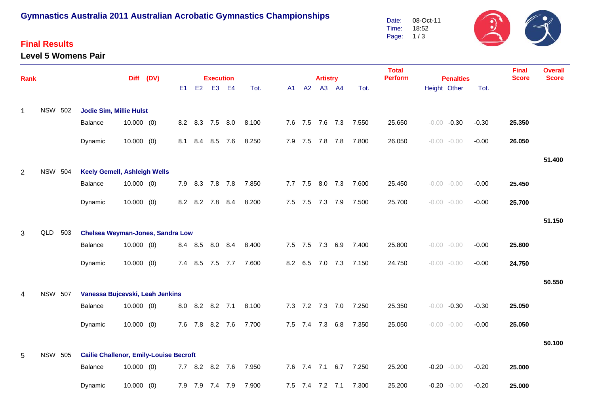# **Gymnastics Australia 2011 Australian Acrobatic Gymnastics Championships**

## **Final Results**

#### **Level 5 Womens Pair**

08-Oct-11  $\ddot{\bm{v}}$ Date: Time: 18:52 Page: 1 / 3

| Rank           |                |                                               |              | Diff (DV) |  |       | <b>Execution</b> |     |       |      |         | <b>Artistry</b> |                 |       | <b>Total</b><br><b>Perform</b> | <b>Penalties</b> |                |         | <b>Final</b><br><b>Score</b> | <b>Overall</b><br><b>Score</b> |
|----------------|----------------|-----------------------------------------------|--------------|-----------|--|-------|------------------|-----|-------|------|---------|-----------------|-----------------|-------|--------------------------------|------------------|----------------|---------|------------------------------|--------------------------------|
|                |                |                                               |              |           |  | E1 E2 | E <sub>3</sub>   | E4  | Tot.  | A1 — |         | A2 A3 A4        |                 | Tot.  |                                |                  | Height Other   | Tot.    |                              |                                |
| 1              | <b>NSW 502</b> | <b>Jodie Sim, Millie Hulst</b>                |              |           |  |       |                  |     |       |      |         |                 |                 |       |                                |                  |                |         |                              |                                |
|                |                | Balance                                       | $10.000$ (0) |           |  |       | 8.2 8.3 7.5 8.0  |     | 8.100 |      |         |                 | 7.6 7.5 7.6 7.3 | 7.550 | 25.650                         |                  | $-0.00 -0.30$  | $-0.30$ | 25.350                       |                                |
|                |                | Dynamic                                       | $10.000$ (0) |           |  |       | 8.1 8.4 8.5 7.6  |     | 8.250 |      |         |                 | 7.9 7.5 7.8 7.8 | 7.800 | 26.050                         |                  | $-0.00 - 0.00$ | $-0.00$ | 26.050                       |                                |
|                |                |                                               |              |           |  |       |                  |     |       |      |         |                 |                 |       |                                |                  |                |         |                              | 51.400                         |
| 2              | <b>NSW 504</b> | <b>Keely Gemell, Ashleigh Wells</b>           |              |           |  |       |                  |     |       |      |         |                 |                 |       |                                |                  |                |         |                              |                                |
|                |                | Balance                                       | $10.000$ (0) |           |  |       | 7.9 8.3 7.8 7.8  |     | 7.850 |      |         |                 | 7.7 7.5 8.0 7.3 | 7.600 | 25.450                         |                  | $-0.00 - 0.00$ | $-0.00$ | 25.450                       |                                |
|                |                | Dynamic                                       | $10.000$ (0) |           |  |       | 8.2 8.2 7.8      | 8.4 | 8.200 |      |         |                 | 7.5 7.5 7.3 7.9 | 7.500 | 25.700                         |                  | $-0.00 - 0.00$ | $-0.00$ | 25.700                       |                                |
|                |                |                                               |              |           |  |       |                  |     |       |      |         |                 |                 |       |                                |                  |                |         |                              | 51.150                         |
| 3              | QLD 503        | <b>Chelsea Weyman-Jones, Sandra Low</b>       |              |           |  |       |                  |     |       |      |         |                 |                 |       |                                |                  |                |         |                              |                                |
|                |                | Balance                                       | $10.000$ (0) |           |  |       | 8.4 8.5 8.0 8.4  |     | 8.400 |      |         |                 | 7.5 7.5 7.3 6.9 | 7.400 | 25.800                         |                  | $-0.00 - 0.00$ | $-0.00$ | 25.800                       |                                |
|                |                | Dynamic                                       | $10.000$ (0) |           |  |       | 7.4 8.5 7.5      | 7.7 | 7.600 |      | 8.2 6.5 |                 | 7.0 7.3         | 7.150 | 24.750                         |                  | $-0.00 - 0.00$ | $-0.00$ | 24.750                       |                                |
|                |                |                                               |              |           |  |       |                  |     |       |      |         |                 |                 |       |                                |                  |                |         |                              | 50.550                         |
| $\overline{4}$ | <b>NSW 507</b> | Vanessa Bujcevski, Leah Jenkins               |              |           |  |       |                  |     |       |      |         |                 |                 |       |                                |                  |                |         |                              |                                |
|                |                | Balance                                       | $10.000$ (0) |           |  |       | 8.0 8.2 8.2 7.1  |     | 8.100 |      |         |                 | 7.3 7.2 7.3 7.0 | 7.250 | 25.350                         |                  | $-0.00 -0.30$  | $-0.30$ | 25.050                       |                                |
|                |                | Dynamic                                       | $10.000$ (0) |           |  |       | 7.6 7.8 8.2 7.6  |     | 7.700 |      |         |                 | 7.5 7.4 7.3 6.8 | 7.350 | 25.050                         |                  | $-0.00 - 0.00$ | $-0.00$ | 25.050                       |                                |
|                |                |                                               |              |           |  |       |                  |     |       |      |         |                 |                 |       |                                |                  |                |         |                              | 50.100                         |
| 5              | <b>NSW 505</b> | <b>Cailie Challenor, Emily-Louise Becroft</b> |              |           |  |       |                  |     |       |      |         |                 |                 |       |                                |                  |                |         |                              |                                |
|                |                | Balance                                       | $10.000$ (0) |           |  |       | 7.7 8.2 8.2 7.6  |     | 7.950 |      |         |                 | 7.6 7.4 7.1 6.7 | 7.250 | 25.200                         |                  | $-0.20 - 0.00$ | $-0.20$ | 25.000                       |                                |
|                |                | Dynamic                                       | $10.000$ (0) |           |  |       | 7.9 7.9 7.4 7.9  |     | 7.900 |      |         |                 | 7.5 7.4 7.2 7.1 | 7.300 | 25.200                         |                  | $-0.20 - 0.00$ | $-0.20$ | 25.000                       |                                |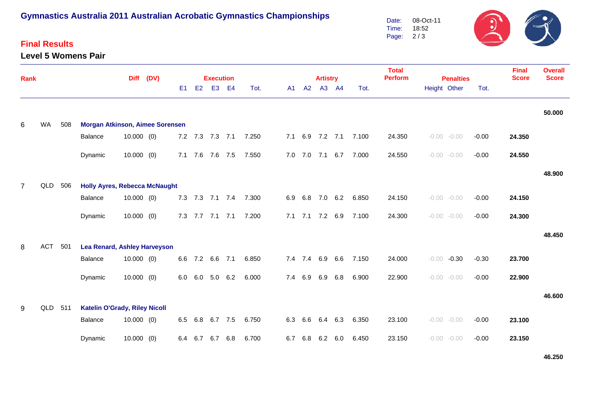# **Gymnastics Australia 2011 Australian Acrobatic Gymnastics Championships**

## **Final Results**

**Level 5 Womens Pair**



| <b>Rank</b>    |            |     |                                        | <b>Diff</b>  | (DV) |                |             | <b>Execution</b> |     |       |     |             | <b>Artistry</b> |                |       | <b>Total</b><br><b>Perform</b><br><b>Penalties</b> |              |                |         | <b>Final</b><br><b>Score</b> | <b>Overall</b><br><b>Score</b> |
|----------------|------------|-----|----------------------------------------|--------------|------|----------------|-------------|------------------|-----|-------|-----|-------------|-----------------|----------------|-------|----------------------------------------------------|--------------|----------------|---------|------------------------------|--------------------------------|
|                |            |     |                                        |              |      | E <sub>1</sub> | E2          | E <sub>3</sub>   | E4  | Tot.  | A1  | A2          |                 | A3 A4          | Tot.  |                                                    | Height Other |                | Tot.    |                              |                                |
|                |            |     |                                        |              |      |                |             |                  |     |       |     |             |                 |                |       |                                                    |              |                |         |                              | 50.000                         |
| 6              | WA         | 508 | <b>Morgan Atkinson, Aimee Sorensen</b> |              |      |                |             |                  |     |       |     |             |                 |                |       |                                                    |              |                |         |                              |                                |
|                |            |     | Balance                                | $10.000$ (0) |      |                |             | 7.2 7.3 7.3 7.1  |     | 7.250 | 7.1 | 6.9         | $7.2$ $7.1$     |                | 7.100 | 24.350                                             |              | $-0.00 - 0.00$ | $-0.00$ | 24.350                       |                                |
|                |            |     | Dynamic                                | $10.000$ (0) |      |                | $7.1$ $7.6$ | 7.6              | 7.5 | 7.550 | 7.0 | 7.0         | 7.1             | 6.7            | 7.000 | 24.550                                             |              | $-0.00 - 0.00$ | $-0.00$ | 24.550                       |                                |
|                |            |     |                                        |              |      |                |             |                  |     |       |     |             |                 |                |       |                                                    |              |                |         |                              | 48.900                         |
| $\overline{7}$ | QLD 506    |     | <b>Holly Ayres, Rebecca McNaught</b>   |              |      |                |             |                  |     |       |     |             |                 |                |       |                                                    |              |                |         |                              |                                |
|                |            |     | Balance                                | $10.000$ (0) |      |                |             | 7.3 7.3 7.1 7.4  |     | 7.300 | 6.9 | 6.8         | 7.0             | 6.2            | 6.850 | 24.150                                             |              | $-0.00 - 0.00$ | $-0.00$ | 24.150                       |                                |
|                |            |     | Dynamic                                | $10.000$ (0) |      |                |             | 7.3 7.7 7.1 7.1  |     | 7.200 | 7.1 |             | $7.1$ $7.2$     | 6.9            | 7.100 | 24.300                                             |              | $-0.00 - 0.00$ | $-0.00$ | 24.300                       |                                |
|                |            |     |                                        |              |      |                |             |                  |     |       |     |             |                 |                |       |                                                    |              |                |         |                              | 48.450                         |
| 8              | <b>ACT</b> | 501 | <b>Lea Renard, Ashley Harveyson</b>    |              |      |                |             |                  |     |       |     |             |                 |                |       |                                                    |              |                |         |                              |                                |
|                |            |     | Balance                                | $10.000$ (0) |      | 6.6            | 7.2         | 6.6              | 7.1 | 6.850 |     | 7.4 7.4 6.9 |                 | 6.6            | 7.150 | 24.000                                             | $-0.00$      | $-0.30$        | $-0.30$ | 23.700                       |                                |
|                |            |     | Dynamic                                | $10.000$ (0) |      | 6.0            | 6.0         | 5.0              | 6.2 | 6.000 | 7.4 | 6.9         | 6.9             | 6.8            | 6.900 | 22.900                                             |              | $-0.00 - 0.00$ | $-0.00$ | 22.900                       |                                |
|                |            |     |                                        |              |      |                |             |                  |     |       |     |             |                 |                |       |                                                    |              |                |         |                              | 46.600                         |
| 9              | QLD 511    |     | <b>Katelin O'Grady, Riley Nicoll</b>   |              |      |                |             |                  |     |       |     |             |                 |                |       |                                                    |              |                |         |                              |                                |
|                |            |     | Balance                                | $10.000$ (0) |      | 6.5            | 6.8         | 6.7              | 7.5 | 6.750 | 6.3 | 6.6         | 6.4             | 6.3            | 6.350 | 23.100                                             |              | $-0.00 - 0.00$ | $-0.00$ | 23.100                       |                                |
|                |            |     | Dynamic                                | $10.000$ (0) |      | 6.4            | 6.7         | 6.7              | 6.8 | 6.700 | 6.7 | 6.8         |                 | $6.2\quad 6.0$ | 6.450 | 23.150                                             |              | $-0.00 - 0.00$ | $-0.00$ | 23.150                       |                                |

**46.250**